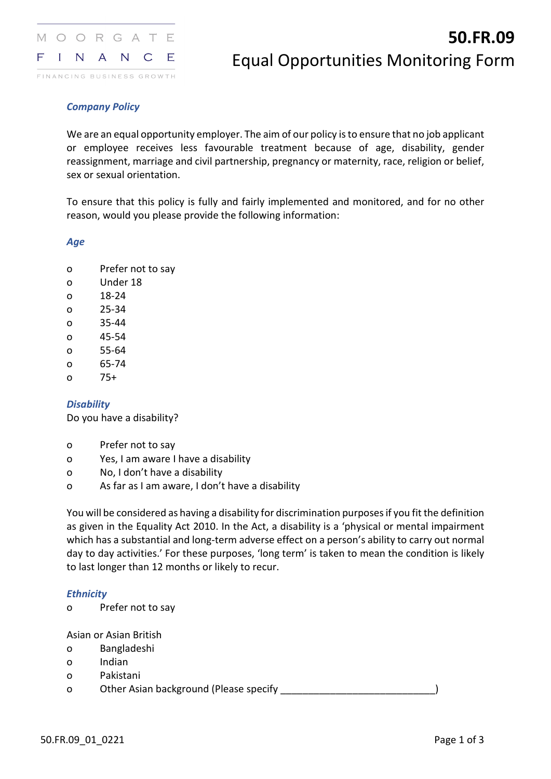

# *Company Policy*

We are an equal opportunity employer. The aim of our policy is to ensure that no job applicant or employee receives less favourable treatment because of age, disability, gender reassignment, marriage and civil partnership, pregnancy or maternity, race, religion or belief, sex or sexual orientation.

To ensure that this policy is fully and fairly implemented and monitored, and for no other reason, would you please provide the following information:

*Age*

- o Prefer not to say
- o Under 18
- o 18-24
- o 25-34
- o 35-44
- o 45-54
- o 55-64
- o 65-74
- o 75+

## *Disability*

Do you have a disability?

- o Prefer not to say
- o Yes, I am aware I have a disability
- o No, I don't have a disability
- o As far as I am aware, I don't have a disability

You will be considered as having a disability for discrimination purposes if you fit the definition as given in the Equality Act 2010. In the Act, a disability is a 'physical or mental impairment which has a substantial and long-term adverse effect on a person's ability to carry out normal day to day activities.' For these purposes, 'long term' is taken to mean the condition is likely to last longer than 12 months or likely to recur.

## *Ethnicity*

o Prefer not to say

Asian or Asian British

- o Bangladeshi
- o Indian
- o Pakistani

o Other Asian background (Please specify and the control of the control of the control of the control of the control of the control of the control of the control of the control of the control of the control of the control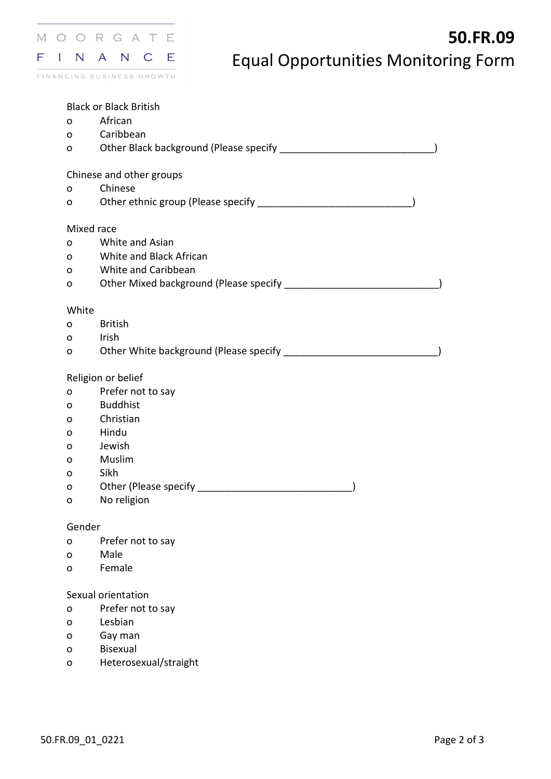

Black or Black British

- o African
- o Caribbean

| Other Black background (Please specify |  |
|----------------------------------------|--|
|                                        |  |

Chinese and other groups

- o Chinese
- o Other ethnic group (Please specify \_\_\_\_\_\_\_\_\_\_\_\_\_\_\_\_\_\_\_\_\_\_\_\_\_\_\_\_)

## Mixed race

- o White and Asian
- o White and Black African
- o White and Caribbean

| Other Mixed background (Please specify |
|----------------------------------------|
|                                        |

### White

- o British
- o Irish

o Other White background (Please specify \_\_\_\_\_\_\_\_\_\_\_\_\_\_\_\_\_\_\_\_\_\_\_\_\_\_\_\_\_\_\_\_\_\_)

## Religion or belief

- o Prefer not to say
- o Buddhist
- o Christian
- o Hindu
- o Jewish
- o Muslim
- o Sikh
- o Other (Please specify \_\_\_\_\_\_\_\_\_\_\_\_\_\_\_\_\_\_\_\_\_\_\_\_\_\_\_\_\_\_\_\_\_\_\_)
- o No religion

## Gender

- o Prefer not to say
- o Male
- o Female

## Sexual orientation

- o Prefer not to say
- o Lesbian
- o Gay man
- o Bisexual
- o Heterosexual/straight